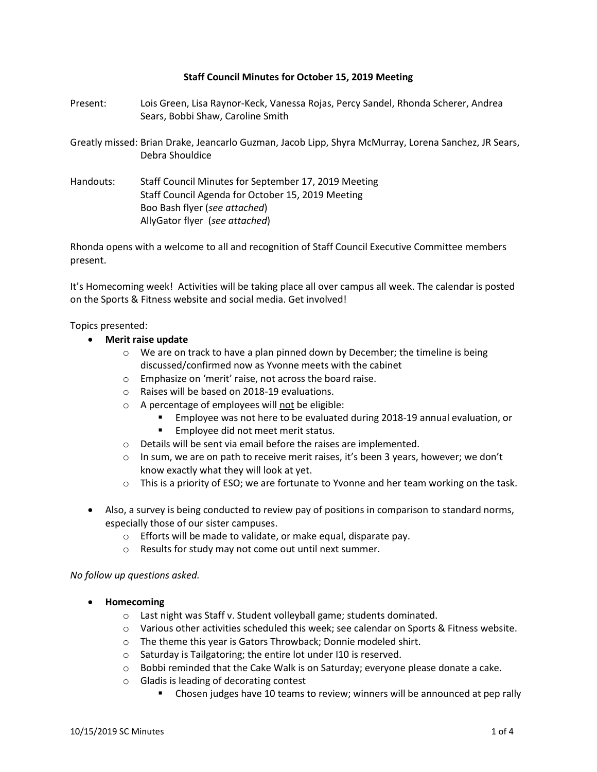#### **Staff Council Minutes for October 15, 2019 Meeting**

- Present: Lois Green, Lisa Raynor-Keck, Vanessa Rojas, Percy Sandel, Rhonda Scherer, Andrea Sears, Bobbi Shaw, Caroline Smith
- Greatly missed: Brian Drake, Jeancarlo Guzman, Jacob Lipp, Shyra McMurray, Lorena Sanchez, JR Sears, Debra Shouldice
- Handouts: Staff Council Minutes for September 17, 2019 Meeting Staff Council Agenda for October 15, 2019 Meeting Boo Bash flyer (*see attached*) AllyGator flyer (*see attached*)

Rhonda opens with a welcome to all and recognition of Staff Council Executive Committee members present.

It's Homecoming week! Activities will be taking place all over campus all week. The calendar is posted on the Sports & Fitness website and social media. Get involved!

Topics presented:

- **Merit raise update**
	- $\circ$  We are on track to have a plan pinned down by December; the timeline is being discussed/confirmed now as Yvonne meets with the cabinet
	- o Emphasize on 'merit' raise, not across the board raise.
	- o Raises will be based on 2018-19 evaluations.
	- o A percentage of employees will not be eligible:
		- Employee was not here to be evaluated during 2018-19 annual evaluation, or
		- **Employee did not meet merit status.**
	- o Details will be sent via email before the raises are implemented.
	- $\circ$  In sum, we are on path to receive merit raises, it's been 3 years, however; we don't know exactly what they will look at yet.
	- $\circ$  This is a priority of ESO; we are fortunate to Yvonne and her team working on the task.
- Also, a survey is being conducted to review pay of positions in comparison to standard norms, especially those of our sister campuses.
	- o Efforts will be made to validate, or make equal, disparate pay.
	- o Results for study may not come out until next summer.

#### *No follow up questions asked.*

- **Homecoming** 
	- o Last night was Staff v. Student volleyball game; students dominated.
	- o Various other activities scheduled this week; see calendar on Sports & Fitness website.
	- o The theme this year is Gators Throwback; Donnie modeled shirt.
	- o Saturday is Tailgatoring; the entire lot under I10 is reserved.
	- o Bobbi reminded that the Cake Walk is on Saturday; everyone please donate a cake.
	- o Gladis is leading of decorating contest
		- Chosen judges have 10 teams to review; winners will be announced at pep rally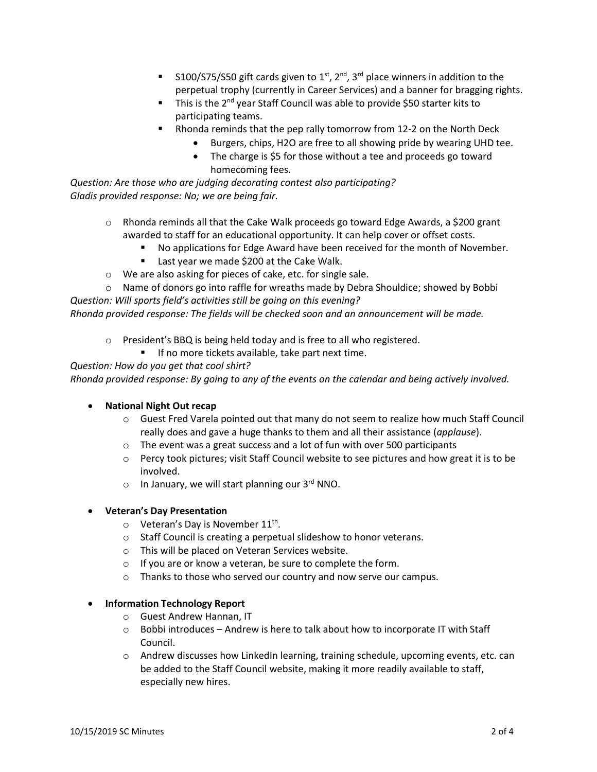- S100/S75/S50 gift cards given to  $1^{st}$ ,  $2^{nd}$ ,  $3^{rd}$  place winners in addition to the perpetual trophy (currently in Career Services) and a banner for bragging rights.
- This is the 2<sup>nd</sup> year Staff Council was able to provide \$50 starter kits to participating teams.
- Rhonda reminds that the pep rally tomorrow from 12-2 on the North Deck
	- Burgers, chips, H2O are free to all showing pride by wearing UHD tee.
		- The charge is \$5 for those without a tee and proceeds go toward homecoming fees.

*Question: Are those who are judging decorating contest also participating? Gladis provided response: No; we are being fair.* 

- $\circ$  Rhonda reminds all that the Cake Walk proceeds go toward Edge Awards, a \$200 grant awarded to staff for an educational opportunity. It can help cover or offset costs.
	- No applications for Edge Award have been received for the month of November.
	- **E** Last year we made \$200 at the Cake Walk.
- o We are also asking for pieces of cake, etc. for single sale.

 $\circ$  Name of donors go into raffle for wreaths made by Debra Shouldice; showed by Bobbi *Question: Will sports field's activities still be going on this evening?* 

*Rhonda provided response: The fields will be checked soon and an announcement will be made.* 

- o President's BBQ is being held today and is free to all who registered.
	- **If no more tickets available, take part next time.**

*Question: How do you get that cool shirt?* 

*Rhonda provided response: By going to any of the events on the calendar and being actively involved.* 

### **National Night Out recap**

- $\circ$  Guest Fred Varela pointed out that many do not seem to realize how much Staff Council really does and gave a huge thanks to them and all their assistance (*applause*).
- o The event was a great success and a lot of fun with over 500 participants
- $\circ$  Percy took pictures; visit Staff Council website to see pictures and how great it is to be involved.
- $\circ$  In January, we will start planning our 3<sup>rd</sup> NNO.

### **Veteran's Day Presentation**

- $\circ$  Veteran's Day is November 11<sup>th</sup>.
- o Staff Council is creating a perpetual slideshow to honor veterans.
- o This will be placed on Veteran Services website.
- o If you are or know a veteran, be sure to complete the form.
- o Thanks to those who served our country and now serve our campus.

### **Information Technology Report**

- o Guest Andrew Hannan, IT
- $\circ$  Bobbi introduces Andrew is here to talk about how to incorporate IT with Staff Council.
- $\circ$  Andrew discusses how LinkedIn learning, training schedule, upcoming events, etc. can be added to the Staff Council website, making it more readily available to staff, especially new hires.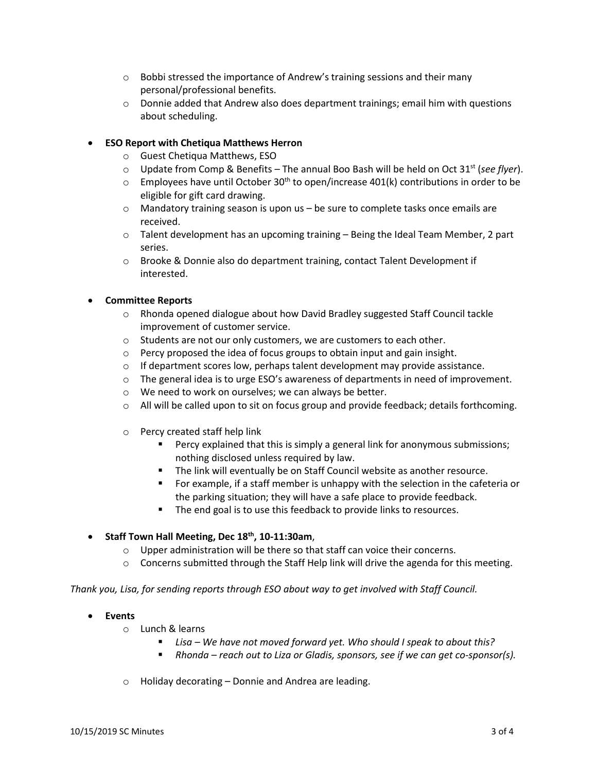- $\circ$  Bobbi stressed the importance of Andrew's training sessions and their many personal/professional benefits.
- $\circ$  Donnie added that Andrew also does department trainings; email him with questions about scheduling.

## **ESO Report with Chetiqua Matthews Herron**

- o Guest Chetiqua Matthews, ESO
- o Update from Comp & Benefits The annual Boo Bash will be held on Oct 31st (*see flyer*).
- $\circ$  Employees have until October 30<sup>th</sup> to open/increase 401(k) contributions in order to be eligible for gift card drawing.
- $\circ$  Mandatory training season is upon us be sure to complete tasks once emails are received.
- $\circ$  Talent development has an upcoming training Being the Ideal Team Member, 2 part series.
- o Brooke & Donnie also do department training, contact Talent Development if interested.

## **Committee Reports**

- $\circ$  Rhonda opened dialogue about how David Bradley suggested Staff Council tackle improvement of customer service.
- o Students are not our only customers, we are customers to each other.
- o Percy proposed the idea of focus groups to obtain input and gain insight.
- o If department scores low, perhaps talent development may provide assistance.
- $\circ$  The general idea is to urge ESO's awareness of departments in need of improvement.
- o We need to work on ourselves; we can always be better.
- o All will be called upon to sit on focus group and provide feedback; details forthcoming.
- o Percy created staff help link
	- **Percy explained that this is simply a general link for anonymous submissions;** nothing disclosed unless required by law.
	- **The link will eventually be on Staff Council website as another resource.**
	- **For example, if a staff member is unhappy with the selection in the cafeteria or** the parking situation; they will have a safe place to provide feedback.
	- The end goal is to use this feedback to provide links to resources.

# **Staff Town Hall Meeting, Dec 18th, 10-11:30am**,

- o Upper administration will be there so that staff can voice their concerns.
- $\circ$  Concerns submitted through the Staff Help link will drive the agenda for this meeting.

*Thank you, Lisa, for sending reports through ESO about way to get involved with Staff Council.* 

- **Events** 
	- o Lunch & learns
		- *Lisa – We have not moved forward yet. Who should I speak to about this?*
		- *Rhonda – reach out to Liza or Gladis, sponsors, see if we can get co-sponsor(s).*
	- o Holiday decorating Donnie and Andrea are leading.